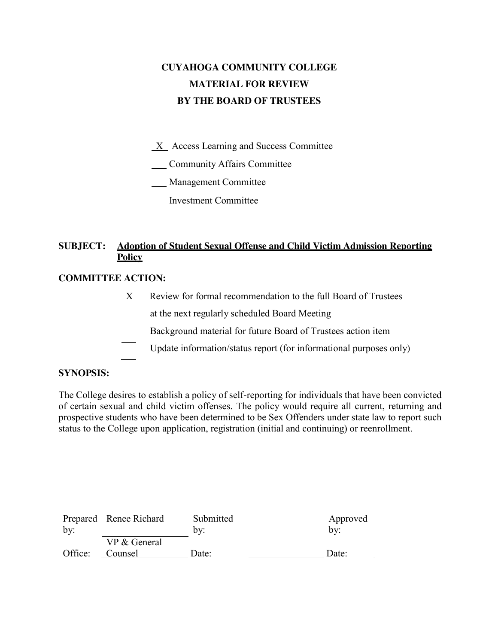# **CUYAHOGA COMMUNITY COLLEGE MATERIAL FOR REVIEW BY THE BOARD OF TRUSTEES**

 $X$  Access Learning and Success Committee

Community Affairs Committee

Management Committee

Investment Committee

## **SUBJECT: Adoption of Student Sexual Offense and Child Victim Admission Reporting Policy**

#### **COMMITTEE ACTION:**

- X Review for formal recommendation to the full Board of Trustees at the next regularly scheduled Board Meeting
	- Background material for future Board of Trustees action item
- Update information/status report (for informational purposes only)

#### **SYNOPSIS:**

The College desires to establish a policy of self-reporting for individuals that have been convicted of certain sexual and child victim offenses. The policy would require all current, returning and prospective students who have been determined to be Sex Offenders under state law to report such status to the College upon application, registration (initial and continuing) or reenrollment.

|         | Prepared Renee Richard | Submitted | Approved |
|---------|------------------------|-----------|----------|
| by:     |                        | by:       | bv:      |
|         | VP & General           |           |          |
| Office: | Counsel                | Date:     | Date:    |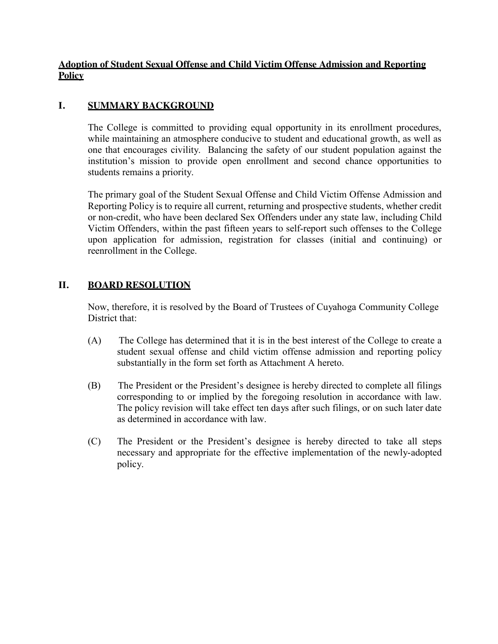## **Adoption of Student Sexual Offense and Child Victim Offense Admission and Reporting Policy**

## **I. SUMMARY BACKGROUND**

The College is committed to providing equal opportunity in its enrollment procedures, while maintaining an atmosphere conducive to student and educational growth, as well as one that encourages civility. Balancing the safety of our student population against the institution's mission to provide open enrollment and second chance opportunities to students remains a priority.

The primary goal of the Student Sexual Offense and Child Victim Offense Admission and Reporting Policy is to require all current, returning and prospective students, whether credit or non-credit, who have been declared Sex Offenders under any state law, including Child Victim Offenders, within the past fifteen years to self-report such offenses to the College upon application for admission, registration for classes (initial and continuing) or reenrollment in the College.

## **II. BOARD RESOLUTION**

Now, therefore, it is resolved by the Board of Trustees of Cuyahoga Community College District that:

- (A) The College has determined that it is in the best interest of the College to create a student sexual offense and child victim offense admission and reporting policy substantially in the form set forth as Attachment A hereto.
- (B) The President or the President's designee is hereby directed to complete all filings corresponding to or implied by the foregoing resolution in accordance with law. The policy revision will take effect ten days after such filings, or on such later date as determined in accordance with law.
- (C) The President or the President's designee is hereby directed to take all steps necessary and appropriate for the effective implementation of the newly-adopted policy.